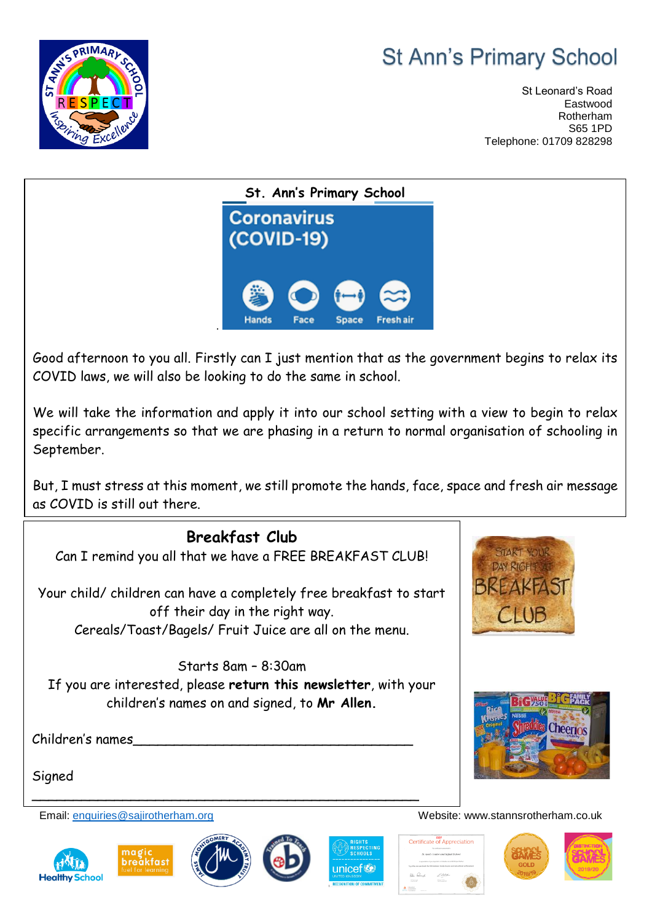## **St Ann's Primary School**



St Leonard's Road Eastwood Rotherham S65 1PD Telephone: 01709 828298



Good afternoon to you all. Firstly can I just mention that as the government begins to relax its COVID laws, we will also be looking to do the same in school.

We will take the information and apply it into our school setting with a view to begin to relax specific arrangements so that we are phasing in a return to normal organisation of schooling in September.

But, I must stress at this moment, we still promote the hands, face, space and fresh air message as COVID is still out there.



Children's names

Signed







\_\_\_\_\_\_\_\_\_\_\_\_\_\_\_\_\_\_\_\_\_\_\_\_\_\_\_\_\_\_\_\_\_\_\_\_\_\_\_\_\_\_\_\_\_\_\_



Certificate of Appreciation





Cheerios

Email: [enquiries@sajirotherham.org](mailto:enquiries@sajirotherham.org) Website: www.stannsrotherham.co.uk